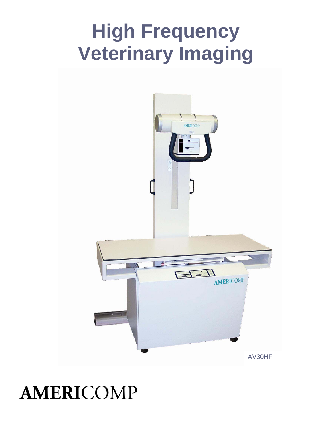# **High Frequency Veterinary Imaging**



**AMERICOMP**